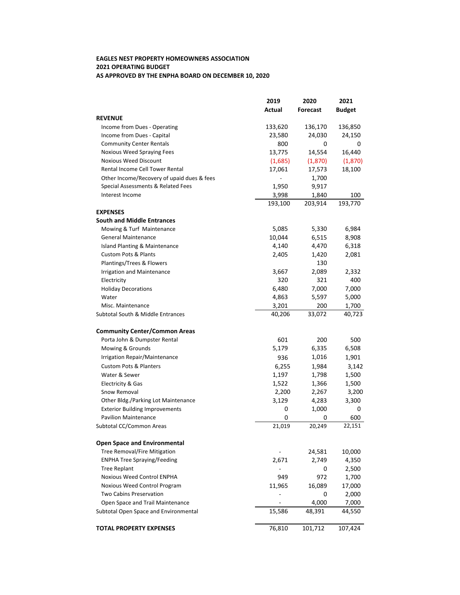## AS APPROVED BY THE ENPHA BOARD ON DECEMBER 10, 2020 **EAGLES NEST PROPERTY HOMEOWNERS ASSOCIATION 2021 OPERATING BUDGET**

| Actual<br><b>Forecast</b><br><b>Budget</b><br><b>REVENUE</b> | 136,850<br>24,150 |
|--------------------------------------------------------------|-------------------|
|                                                              |                   |
|                                                              |                   |
| 133,620<br>136,170<br>Income from Dues - Operating           |                   |
| Income from Dues - Capital<br>23,580<br>24,030               |                   |
| <b>Community Center Rentals</b><br>800<br>0                  | 0                 |
| 14,554<br>13,775<br>Noxious Weed Spraying Fees               | 16,440            |
| <b>Noxious Weed Discount</b><br>(1,685)<br>(1,870)           | (1,870)           |
| Rental Income Cell Tower Rental<br>17,061<br>17,573          | 18,100            |
| Other Income/Recovery of upaid dues & fees<br>1,700          |                   |
| Special Assessments & Related Fees<br>1,950<br>9,917         |                   |
| Interest Income<br>3,998<br>1,840                            | 100               |
| 193,100<br>203,914                                           | 193,770           |
| <b>EXPENSES</b>                                              |                   |
| <b>South and Middle Entrances</b>                            |                   |
| 5,330<br>Mowing & Turf Maintenance<br>5,085                  | 6,984             |
| <b>General Maintenance</b><br>10,044<br>6,515                | 8,908             |
| 4,140<br>Island Planting & Maintenance<br>4,470              | 6,318             |
| <b>Custom Pots &amp; Plants</b><br>1,420<br>2,405            | 2,081             |
| Plantings/Trees & Flowers<br>130                             |                   |
| 2,089<br>Irrigation and Maintenance<br>3,667                 | 2,332             |
| 320<br>321<br>Electricity                                    | 400               |
| 6,480<br>7,000<br><b>Holiday Decorations</b>                 | 7,000             |
| 4,863<br>5,597<br>Water                                      | 5,000             |
| 3,201<br>200<br>Misc. Maintenance                            | 1,700             |
| 33,072<br>Subtotal South & Middle Entrances<br>40,206        | 40,723            |
| <b>Community Center/Common Areas</b>                         |                   |
| Porta John & Dumpster Rental<br>601<br>200                   | 500               |
| 5,179<br>6,335<br>Mowing & Grounds                           | 6,508             |
| 1,016<br>Irrigation Repair/Maintenance<br>936                | 1,901             |
| 1,984<br><b>Custom Pots &amp; Planters</b><br>6,255          | 3,142             |
| 1,798<br>Water & Sewer<br>1,197                              | 1,500             |
| 1,366<br>1,522<br>Electricity & Gas                          | 1,500             |
| Snow Removal<br>2,200<br>2,267                               | 3,200             |
| 3,129<br>Other Bldg./Parking Lot Maintenance<br>4,283        | 3,300             |
| 0<br>1,000<br><b>Exterior Building Improvements</b>          | 0                 |
| 0<br><b>Pavilion Maintenance</b><br>0                        | 600               |
| Subtotal CC/Common Areas<br>21,019<br>20,249                 | 22,151            |
| <b>Open Space and Environmental</b>                          |                   |
| Tree Removal/Fire Mitigation<br>24,581                       | 10,000            |
| <b>ENPHA Tree Spraying/Feeding</b><br>2,671<br>2,749         | 4,350             |
| <b>Tree Replant</b><br>0                                     | 2,500             |
| Noxious Weed Control ENPHA<br>972<br>949                     | 1,700             |
| Noxious Weed Control Program<br>11,965<br>16,089             | 17,000            |
| Two Cabins Preservation<br>0                                 | 2,000             |
| 4,000<br>Open Space and Trail Maintenance                    | 7,000             |
| 48,391<br>Subtotal Open Space and Environmental<br>15,586    | 44,550            |
| 76,810<br><b>TOTAL PROPERTY EXPENSES</b><br>101,712          | 107,424           |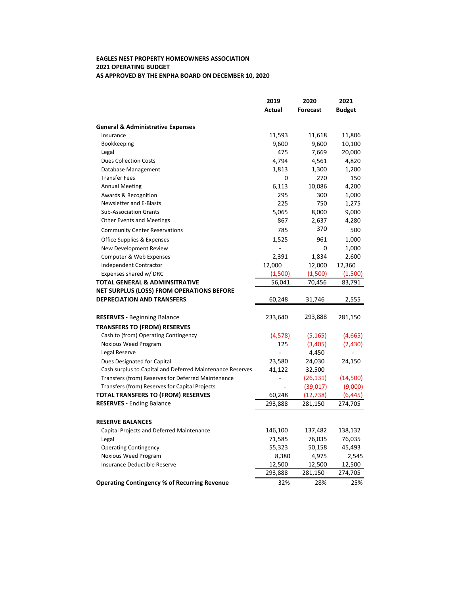## AS APPROVED BY THE ENPHA BOARD ON DECEMBER 10, 2020 **EAGLES NEST PROPERTY HOMEOWNERS ASSOCIATION 2021 OPERATING BUDGET**

|                                                           | 2019                     | 2020            | 2021          |
|-----------------------------------------------------------|--------------------------|-----------------|---------------|
|                                                           | <b>Actual</b>            | <b>Forecast</b> | <b>Budget</b> |
| <b>General &amp; Administrative Expenses</b>              |                          |                 |               |
| Insurance                                                 | 11,593                   | 11,618          | 11,806        |
| Bookkeeping                                               | 9,600                    | 9,600           | 10,100        |
| Legal                                                     | 475                      | 7,669           | 20,000        |
| <b>Dues Collection Costs</b>                              | 4,794                    | 4,561           | 4,820         |
| Database Management                                       | 1,813                    | 1,300           | 1,200         |
| <b>Transfer Fees</b>                                      | 0                        | 270             | 150           |
| <b>Annual Meeting</b>                                     | 6,113                    | 10,086          | 4,200         |
| Awards & Recognition                                      | 295                      | 300             | 1,000         |
| Newsletter and E-Blasts                                   | 225                      | 750             | 1,275         |
| <b>Sub-Association Grants</b>                             | 5,065                    | 8,000           | 9,000         |
| <b>Other Events and Meetings</b>                          | 867                      | 2,637           | 4,280         |
| <b>Community Center Reservations</b>                      | 785                      | 370             | 500           |
| Office Supplies & Expenses                                | 1,525                    | 961             | 1,000         |
| New Development Review                                    |                          | 0               | 1,000         |
| Computer & Web Expenses                                   | 2,391                    | 1,834           | 2,600         |
| Independent Contractor                                    | 12,000                   | 12,000          | 12,360        |
| Expenses shared w/ DRC                                    | (1,500)                  | (1,500)         | (1,500)       |
| TOTAL GENERAL & ADMINSITRATIVE                            | 56,041                   | 70,456          | 83,791        |
| NET SURPLUS (LOSS) FROM OPERATIONS BEFORE                 |                          |                 |               |
| <b>DEPRECIATION AND TRANSFERS</b>                         | 60,248                   | 31,746          | 2,555         |
|                                                           |                          |                 |               |
| <b>RESERVES - Beginning Balance</b>                       | 233,640                  | 293,888         | 281,150       |
| <b>TRANSFERS TO (FROM) RESERVES</b>                       |                          |                 |               |
| Cash to (from) Operating Contingency                      | (4, 578)                 | (5, 165)        | (4,665)       |
| Noxious Weed Program                                      | 125                      | (3,405)         | (2,430)       |
| Legal Reserve                                             | ÷.                       | 4,450           |               |
| Dues Designated for Capital                               | 23,580                   | 24,030          | 24,150        |
| Cash surplus to Capital and Deferred Maintenance Reserves | 41,122                   | 32,500          |               |
| Transfers (from) Reserves for Deferred Maintenance        |                          | (26, 131)       | (14,500)      |
| Transfers (from) Reserves for Capital Projects            | $\overline{\phantom{0}}$ | (39,017)        | (9,000)       |
| <b>TOTAL TRANSFERS TO (FROM) RESERVES</b>                 | 60,248                   | (12, 738)       | (6, 445)      |
| <b>RESERVES - Ending Balance</b>                          | 293,888                  | 281,150         | 274,705       |
|                                                           |                          |                 |               |
| <b>RESERVE BALANCES</b>                                   |                          |                 |               |
| Capital Projects and Deferred Maintenance                 | 146,100                  | 137,482         | 138,132       |
| Legal                                                     | 71,585                   | 76,035          | 76,035        |
| <b>Operating Contingency</b>                              | 55,323                   | 50,158          | 45,493        |
| Noxious Weed Program                                      | 8,380                    | 4,975           | 2,545         |
| Insurance Deductible Reserve                              | 12,500                   | 12,500          | 12,500        |
|                                                           | 293,888                  | 281,150         | 274,705       |
| <b>Operating Contingency % of Recurring Revenue</b>       | 32%                      | 28%             | 25%           |